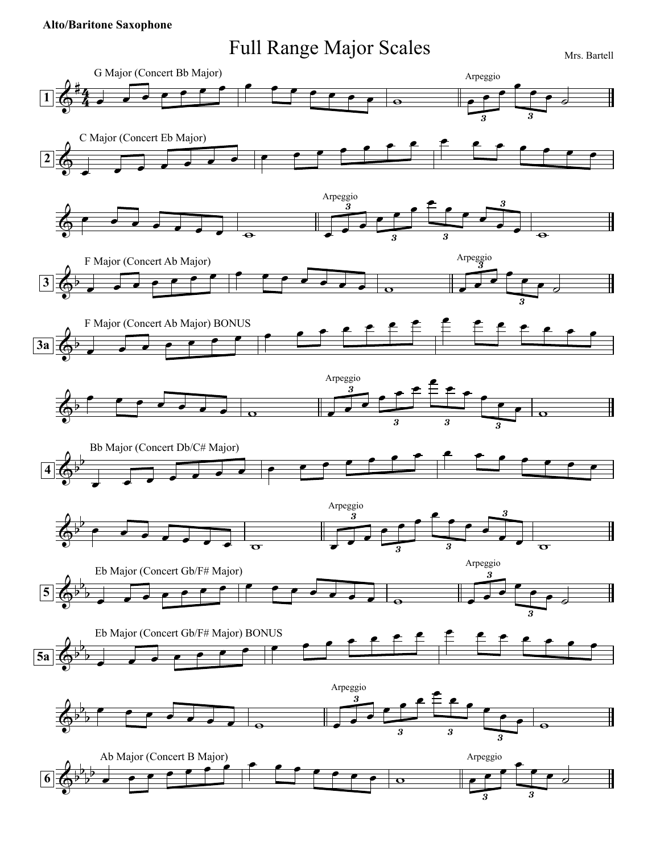## **Alto/Baritone Saxophone**

## Full Range Major Scales Mrs. Bartell

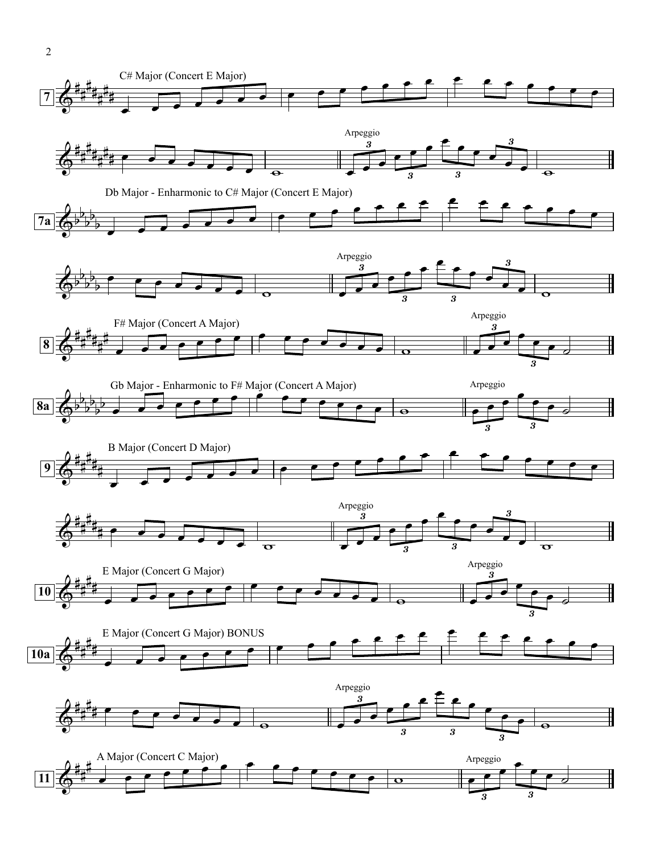